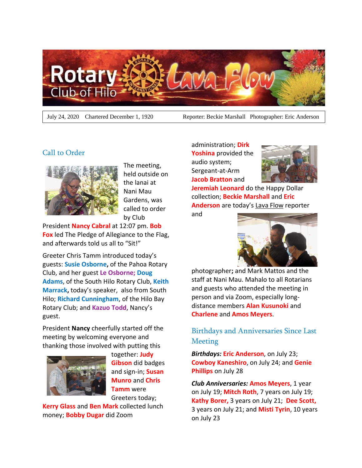

July 24, 2020 Chartered December 1, 1920 Reporter: Beckie Marshall Photographer: Eric Anderson

## Call to Order



The meeting, held outside on the lanai at Nani Mau Gardens, was called to order by Club

President **Nancy Cabral** at 12:07 pm. **Bob Fox** led The Pledge of Allegiance to the Flag, and afterwards told us all to "Sit!"

Greeter Chris Tamm introduced today's guests: **Susie Osborne,** of the Pahoa Rotary Club, and her guest **Le Osborne; Doug Adams**, of the South Hilo Rotary Club, **Keith Marrack,** today's speaker, also from South Hilo; **Richard Cunningham**, of the Hilo Bay Rotary Club; and **Kazuo Todd**, Nancy's guest.

President **Nancy** cheerfully started off the meeting by welcoming everyone and thanking those involved with putting this



together: **Judy Gibson** did badges and sign-in; **Susan Munro** and **Chris Tamm** were Greeters today;

**Kerry Glass** and **Ben Mark** collected lunch money; **Bobby Dugar** did Zoom

administration; **Dirk Yoshina** provided the audio system; Sergeant-at-Arm **Jacob Bratton** and



**Jeremiah Leonard** do the Happy Dollar collection; **Beckie Marshall** and **Eric Anderson** are today's Lava Flow reporter

and



photographer**;** and Mark Mattos and the staff at Nani Mau. Mahalo to all Rotarians and guests who attended the meeting in person and via Zoom, especially longdistance members **Alan Kusunoki** and **Charlene** and **Amos Meyers**.

# Birthdays and Anniversaries Since Last **Meeting**

*Birthdays:* **Eric Anderson**, on July 23; **Cowboy Kaneshiro**, on July 24; and **Genie Phillips** on July 28

*Club Anniversaries:* **Amos Meyers**, 1 year on July 19; **Mitch Roth**, 7 years on July 19; **Kathy Borer,** 3 years on July 21; **Dee Scott,** 3 years on July 21; and **Misti Tyrin**, 10 years on July 23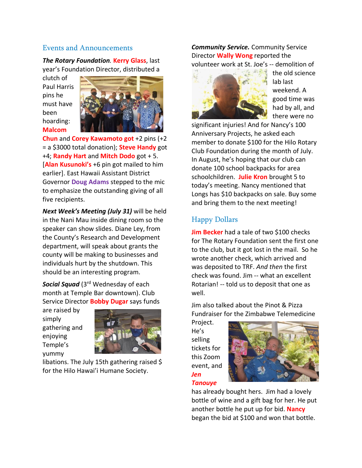### Events and Announcements

*The Rotary Foundation.* **Kerry Glass**, last year's Foundation Director, distributed a

clutch of Paul Harris pins he must have been hoarding: **Malcom**



**Chun** and **Corey Kawamoto got** +2 pins (+2 = a \$3000 total donation); **Steve Handy** got +4; **Randy Hart** and **Mitch Dodo** got + 5. [**Alan Kusunoki's** +6 pin got mailed to him earlier]. East Hawaii Assistant District Governor **Doug Adams** stepped to the mic to emphasize the outstanding giving of all five recipients.

*Next Week's Meeting (July 31)* will be held in the Nani Mau inside dining room so the speaker can show slides. Diane Ley, from the County's Research and Development department, will speak about grants the county will be making to businesses and individuals hurt by the shutdown. This should be an interesting program.

*Social Squad* (3<sup>rd</sup> Wednesday of each month at Temple Bar downtown). Club Service Director **Bobby Dugar** says funds

are raised by simply gathering and enjoying Temple's yummy



libations. The July 15th gathering raised \$ for the Hilo Hawai'i Humane Society.

#### *Community Service.* Community Service Director **Wally Wong** reported the volunteer work at St. Joe's -- demolition of



the old science lab last weekend. A good time was had by all, and there were no

significant injuries! And for Nancy's 100 Anniversary Projects, he asked each member to donate \$100 for the Hilo Rotary Club Foundation during the month of July. In August, he's hoping that our club can donate 100 school backpacks for area schoolchildren. **Julie Kron** brought 5 to today's meeting. Nancy mentioned that Longs has \$10 backpacks on sale. Buy some and bring them to the next meeting!

## Happy Dollars

**Jim Becker** had a tale of two \$100 checks for The Rotary Foundation sent the first one to the club, but it got lost in the mail. So he wrote another check, which arrived and was deposited to TRF. *And then* the first check was found. Jim -- what an excellent Rotarian! -- told us to deposit that one as well.

Jim also talked about the Pinot & Pizza Fundraiser for the Zimbabwe Telemedicine

Project. He's selling tickets for this Zoom event, and *Jen*

*Tanouye*



has already bought hers. Jim had a lovely bottle of wine and a gift bag for her. He put another bottle he put up for bid. **Nancy** began the bid at \$100 and won that bottle.